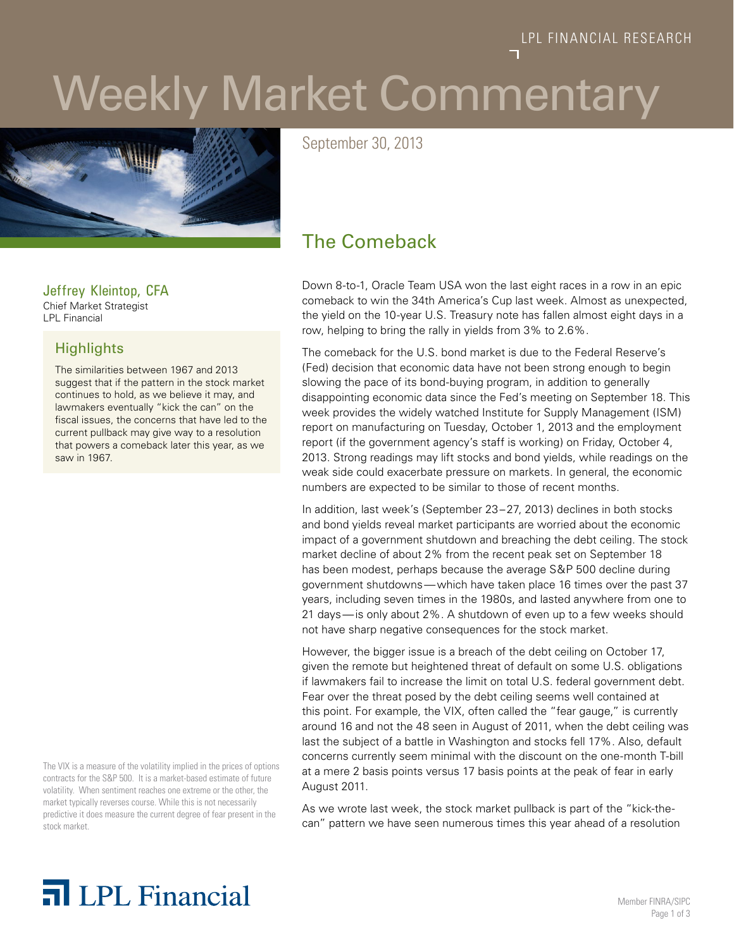# Weekly Market Commentary



September 30, 2013

## The Comeback

Down 8-to-1, Oracle Team USA won the last eight races in a row in an epic comeback to win the 34th America's Cup last week. Almost as unexpected, the yield on the 10-year U.S. Treasury note has fallen almost eight days in a row, helping to bring the rally in yields from 3% to 2.6%.

The comeback for the U.S. bond market is due to the Federal Reserve's (Fed) decision that economic data have not been strong enough to begin slowing the pace of its bond-buying program, in addition to generally disappointing economic data since the Fed's meeting on September 18. This week provides the widely watched Institute for Supply Management (ISM) report on manufacturing on Tuesday, October 1, 2013 and the employment report (if the government agency's staff is working) on Friday, October 4, 2013. Strong readings may lift stocks and bond yields, while readings on the weak side could exacerbate pressure on markets. In general, the economic numbers are expected to be similar to those of recent months.

In addition, last week's (September 23–27, 2013) declines in both stocks and bond yields reveal market participants are worried about the economic impact of a government shutdown and breaching the debt ceiling. The stock market decline of about 2% from the recent peak set on September 18 has been modest, perhaps because the average S&P 500 decline during government shutdowns—which have taken place 16 times over the past 37 years, including seven times in the 1980s, and lasted anywhere from one to 21 days—is only about 2%. A shutdown of even up to a few weeks should not have sharp negative consequences for the stock market.

However, the bigger issue is a breach of the debt ceiling on October 17, given the remote but heightened threat of default on some U.S. obligations if lawmakers fail to increase the limit on total U.S. federal government debt. Fear over the threat posed by the debt ceiling seems well contained at this point. For example, the VIX, often called the "fear gauge," is currently around 16 and not the 48 seen in August of 2011, when the debt ceiling was last the subject of a battle in Washington and stocks fell 17%. Also, default concerns currently seem minimal with the discount on the one-month T-bill at a mere 2 basis points versus 17 basis points at the peak of fear in early August 2011.

As we wrote last week, the stock market pullback is part of the "kick-thecan" pattern we have seen numerous times this year ahead of a resolution

## Jeffrey Kleintop, CFA

Chief Market Strategist LPL Financial

### **Highlights**

The similarities between 1967 and 2013 suggest that if the pattern in the stock market continues to hold, as we believe it may, and lawmakers eventually "kick the can" on the fiscal issues, the concerns that have led to the current pullback may give way to a resolution that powers a comeback later this year, as we saw in 1967.

The VIX is a measure of the volatility implied in the prices of options contracts for the S&P 500. It is a market-based estimate of future volatility. When sentiment reaches one extreme or the other, the market typically reverses course. While this is not necessarily predictive it does measure the current degree of fear present in the stock market.

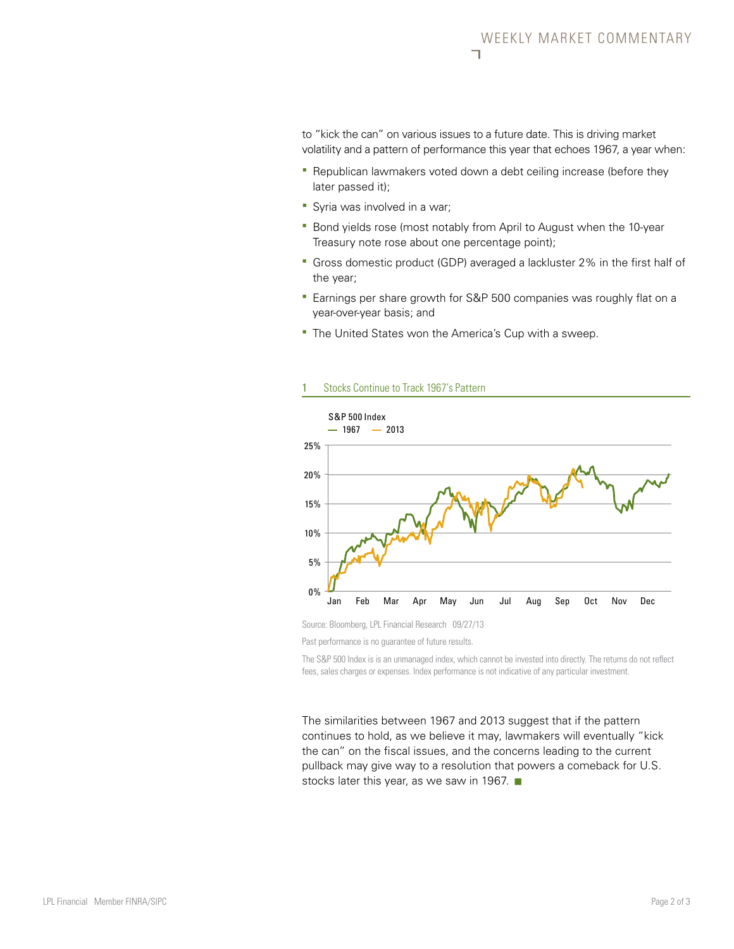to "kick the can" on various issues to a future date. This is driving market volatility and a pattern of performance this year that echoes 1967, a year when:

- **-** Republican lawmakers voted down a debt ceiling increase (before they later passed it);
- **Syria was involved in a war;**
- **Bond yields rose (most notably from April to August when the 10-year** Treasury note rose about one percentage point);
- Gross domestic product (GDP) averaged a lackluster 2% in the first half of the year;
- **Earnings per share growth for S&P 500 companies was roughly flat on a** year-over-year basis; and
- **The United States won the America's Cup with a sweep.**



1 Stocks Continue to Track 1967's Pattern

Source: Bloomberg, LPL Financial Research 09/27/13

Past performance is no guarantee of future results.

The S&P 500 Index is is an unmanaged index, which cannot be invested into directly. The returns do not reflect fees, sales charges or expenses. Index performance is not indicative of any particular investment.

The similarities between 1967 and 2013 suggest that if the pattern continues to hold, as we believe it may, lawmakers will eventually "kick the can" on the fiscal issues, and the concerns leading to the current pullback may give way to a resolution that powers a comeback for U.S. stocks later this year, as we saw in 1967.  $\blacksquare$